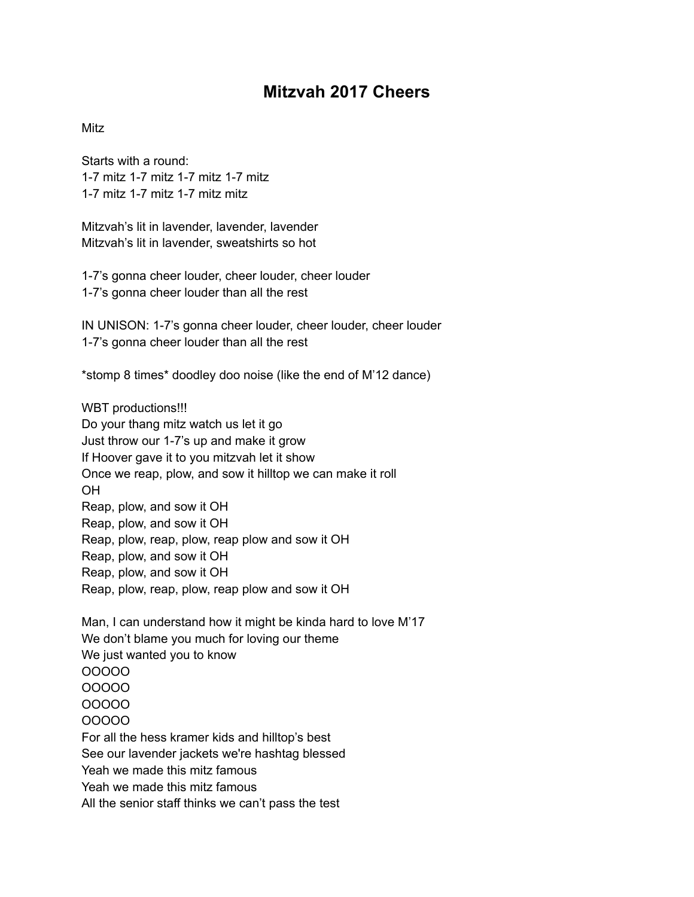## **Mitzvah 2017 Cheers**

## Mitz

Starts with a round: 1-7 mitz 1-7 mitz 1-7 mitz 1-7 mitz 1-7 mitz 1-7 mitz 1-7 mitz mitz

Mitzvah's lit in lavender, lavender, lavender Mitzvah's lit in lavender, sweatshirts so hot

1-7's gonna cheer louder, cheer louder, cheer louder 1-7's gonna cheer louder than all the rest

IN UNISON: 1-7's gonna cheer louder, cheer louder, cheer louder 1-7's gonna cheer louder than all the rest

\*stomp 8 times\* doodley doo noise (like the end of M'12 dance)

WBT productions!!! Do your thang mitz watch us let it go Just throw our 1-7's up and make it grow If Hoover gave it to you mitzvah let it show Once we reap, plow, and sow it hilltop we can make it roll OH Reap, plow, and sow it OH Reap, plow, and sow it OH Reap, plow, reap, plow, reap plow and sow it OH Reap, plow, and sow it OH Reap, plow, and sow it OH Reap, plow, reap, plow, reap plow and sow it OH

Man, I can understand how it might be kinda hard to love M'17 We don't blame you much for loving our theme We just wanted you to know OOOOO OOOOO OOOOO OOOOO For all the hess kramer kids and hilltop's best See our lavender jackets we're hashtag blessed Yeah we made this mitz famous Yeah we made this mitz famous All the senior staff thinks we can't pass the test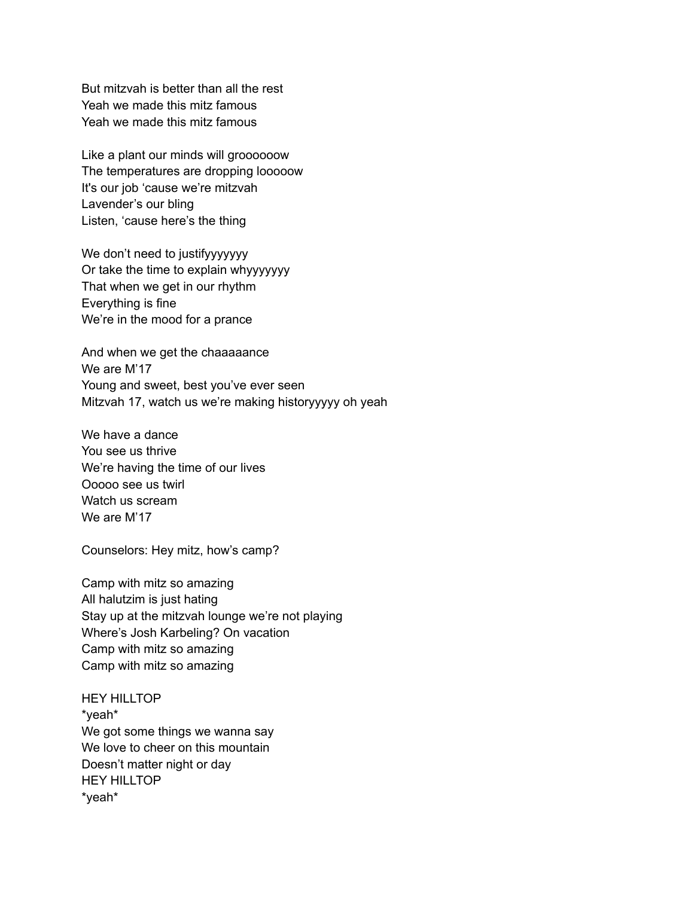But mitzvah is better than all the rest Yeah we made this mitz famous Yeah we made this mitz famous

Like a plant our minds will groooooow The temperatures are dropping looooow It's our job 'cause we're mitzvah Lavender's our bling Listen, 'cause here's the thing

We don't need to justifyyyyyyy Or take the time to explain whyyyyyyy That when we get in our rhythm Everything is fine We're in the mood for a prance

And when we get the chaaaaance We are M'17 Young and sweet, best you've ever seen Mitzvah 17, watch us we're making historyyyyy oh yeah

We have a dance You see us thrive We're having the time of our lives Ooooo see us twirl Watch us scream We are M'17

Counselors: Hey mitz, how's camp?

Camp with mitz so amazing All halutzim is just hating Stay up at the mitzvah lounge we're not playing Where's Josh Karbeling? On vacation Camp with mitz so amazing Camp with mitz so amazing

HEY HILLTOP \*yeah\* We got some things we wanna say We love to cheer on this mountain Doesn't matter night or day HEY HILLTOP \*yeah\*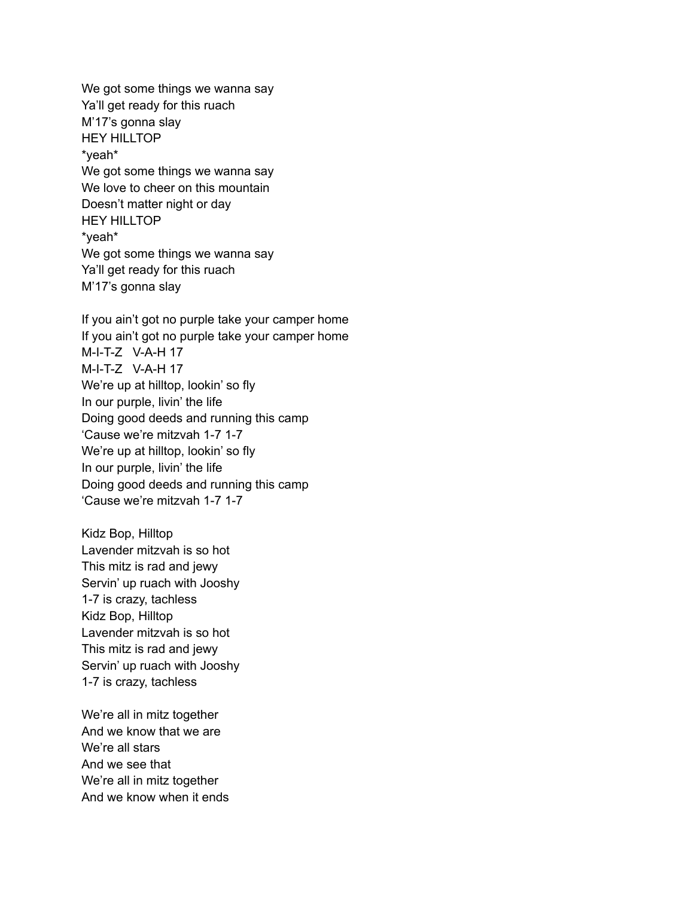We got some things we wanna say Ya'll get ready for this ruach M'17's gonna slay HEY HILLTOP \*yeah\* We got some things we wanna say We love to cheer on this mountain Doesn't matter night or day HEY HILLTOP \*yeah\* We got some things we wanna say Ya'll get ready for this ruach M'17's gonna slay

If you ain't got no purple take your camper home If you ain't got no purple take your camper home M-I-T-Z V-A-H 17 M-I-T-Z V-A-H 17 We're up at hilltop, lookin' so fly In our purple, livin' the life Doing good deeds and running this camp 'Cause we're mitzvah 1-7 1-7 We're up at hilltop, lookin' so fly In our purple, livin' the life Doing good deeds and running this camp 'Cause we're mitzvah 1-7 1-7

Kidz Bop, Hilltop Lavender mitzvah is so hot This mitz is rad and jewy Servin' up ruach with Jooshy 1-7 is crazy, tachless Kidz Bop, Hilltop Lavender mitzvah is so hot This mitz is rad and jewy Servin' up ruach with Jooshy 1-7 is crazy, tachless

We're all in mitz together And we know that we are We're all stars And we see that We're all in mitz together And we know when it ends